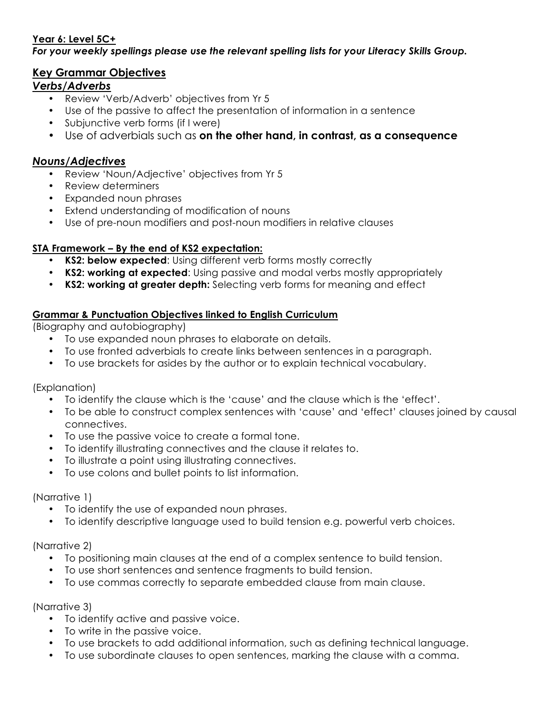# **Year 6: Level 5C+**

#### *For your weekly spellings please use the relevant spelling lists for your Literacy Skills Group.*

# **Key Grammar Objectives**

# *Verbs/Adverbs*

- Review 'Verb/Adverb' objectives from Yr 5
- Use of the passive to affect the presentation of information in a sentence
- Subjunctive verb forms (if I were)
- Use of adverbials such as **on the other hand, in contrast, as a consequence**

## *Nouns/Adjectives*

- Review 'Noun/Adjective' objectives from Yr 5
- Review determiners
- Expanded noun phrases
- Extend understanding of modification of nouns
- Use of pre-noun modifiers and post-noun modifiers in relative clauses

## **STA Framework – By the end of KS2 expectation:**

- **KS2: below expected**: Using different verb forms mostly correctly
- **KS2: working at expected**: Using passive and modal verbs mostly appropriately
- **KS2: working at greater depth:** Selecting verb forms for meaning and effect

## **Grammar & Punctuation Objectives linked to English Curriculum**

(Biography and autobiography)

- To use expanded noun phrases to elaborate on details.
- To use fronted adverbials to create links between sentences in a paragraph.
- To use brackets for asides by the author or to explain technical vocabulary.

(Explanation)

- To identify the clause which is the 'cause' and the clause which is the 'effect'.
- To be able to construct complex sentences with 'cause' and 'effect' clauses joined by causal connectives.
- To use the passive voice to create a formal tone.
- To identify illustrating connectives and the clause it relates to.
- To illustrate a point using illustrating connectives.
- To use colons and bullet points to list information.

## (Narrative 1)

- To identify the use of expanded noun phrases.
- To identify descriptive language used to build tension e.g. powerful verb choices.

## (Narrative 2)

- To positioning main clauses at the end of a complex sentence to build tension.
- To use short sentences and sentence fragments to build tension.
- To use commas correctly to separate embedded clause from main clause.

## (Narrative 3)

- To identify active and passive voice.
- To write in the passive voice.
- To use brackets to add additional information, such as defining technical language.
- To use subordinate clauses to open sentences, marking the clause with a comma.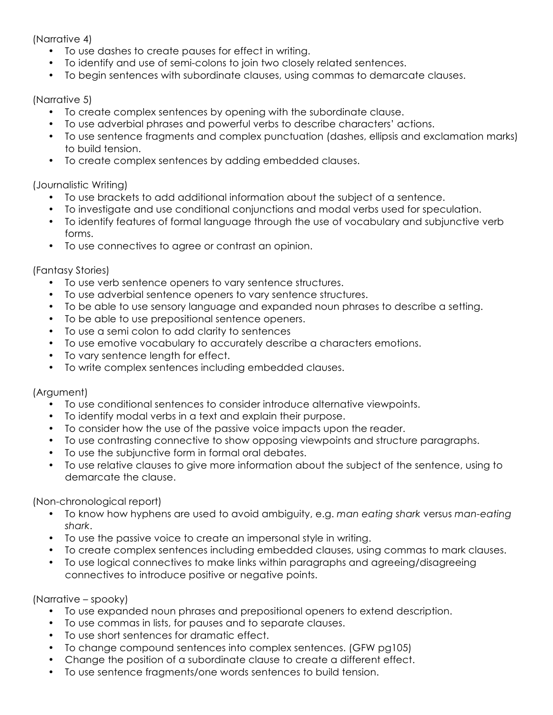(Narrative 4)

- To use dashes to create pauses for effect in writing.
- To identify and use of semi-colons to join two closely related sentences.
- To begin sentences with subordinate clauses, using commas to demarcate clauses.

#### (Narrative 5)

- To create complex sentences by opening with the subordinate clause.
- To use adverbial phrases and powerful verbs to describe characters' actions.
- To use sentence fragments and complex punctuation (dashes, ellipsis and exclamation marks) to build tension.
- To create complex sentences by adding embedded clauses.

## (Journalistic Writing)

- To use brackets to add additional information about the subject of a sentence.
- To investigate and use conditional conjunctions and modal verbs used for speculation.
- To identify features of formal language through the use of vocabulary and subjunctive verb forms.
- To use connectives to agree or contrast an opinion.

#### (Fantasy Stories)

- To use verb sentence openers to vary sentence structures.
- To use adverbial sentence openers to vary sentence structures.
- To be able to use sensory language and expanded noun phrases to describe a setting.
- To be able to use prepositional sentence openers.
- To use a semi colon to add clarity to sentences
- To use emotive vocabulary to accurately describe a characters emotions.
- To vary sentence length for effect.
- To write complex sentences including embedded clauses.

## (Argument)

- To use conditional sentences to consider introduce alternative viewpoints.
- To identify modal verbs in a text and explain their purpose.
- To consider how the use of the passive voice impacts upon the reader.
- To use contrasting connective to show opposing viewpoints and structure paragraphs.
- To use the subjunctive form in formal oral debates.
- To use relative clauses to give more information about the subject of the sentence, using to demarcate the clause.

(Non-chronological report)

- To know how hyphens are used to avoid ambiguity, e.g. *man eating shark* versus *man-eating shark*.
- To use the passive voice to create an impersonal style in writing.
- To create complex sentences including embedded clauses, using commas to mark clauses.
- To use logical connectives to make links within paragraphs and agreeing/disagreeing connectives to introduce positive or negative points.

(Narrative – spooky)

- To use expanded noun phrases and prepositional openers to extend description.
- To use commas in lists, for pauses and to separate clauses.
- To use short sentences for dramatic effect.
- To change compound sentences into complex sentences. (GFW pg105)
- Change the position of a subordinate clause to create a different effect.
- To use sentence fragments/one words sentences to build tension.